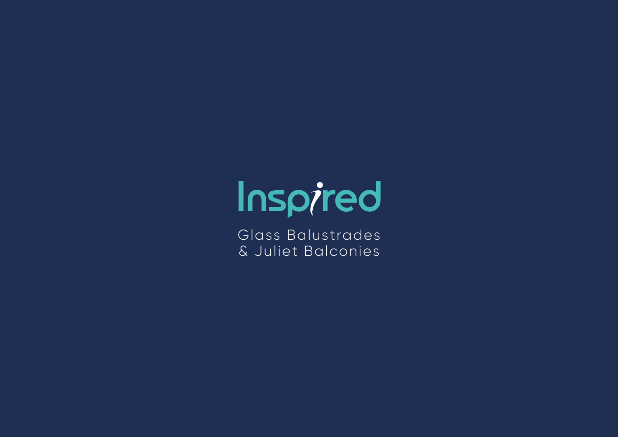

Glass Balustrades & Juliet Balconies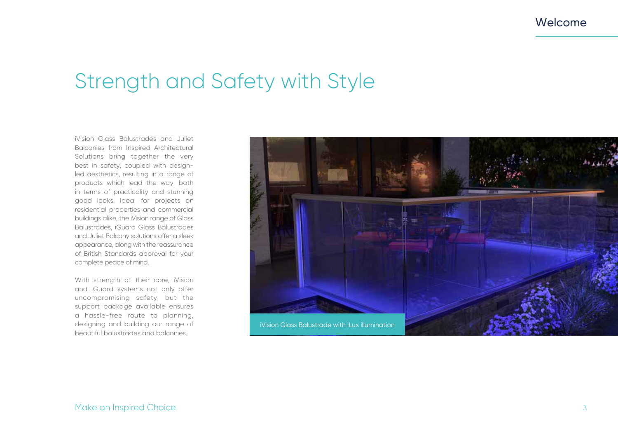Welcome

### Strength and Safety with Style

iVision Glass Balustrades and Juliet Balconies from Inspired Architectural Solutions bring together the very best in safety, coupled with designled aesthetics, resulting in a range of products which lead the way, both in terms of practicality and stunning good looks. Ideal for projects on residential properties and commercial buildings alike, the iVision range of Glass Balustrades, iGuard Glass Balustrades and Juliet Balcony solutions offer a sleek appearance, along with the reassurance of British Standards approval for your complete peace of mind.

With strength at their core, iVision and iGuard systems not only offer uncompromising safety, but the support package available ensures a hassle-free route to planning, designing and building our range of beautiful balustrades and balconies.

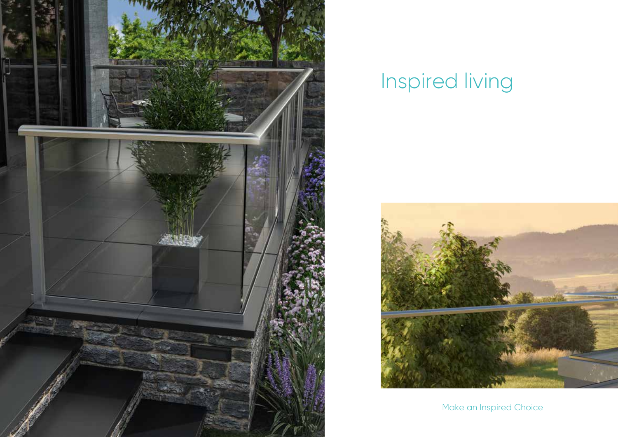

# Inspired living



Make an Inspired Choice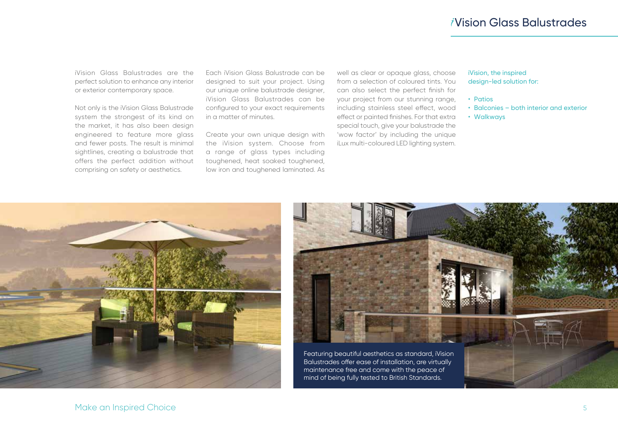#### Vision Glass Balustrades

iVision Glass Balustrades are the perfect solution to enhance any interior or exterior contemporary space.

Not only is the iVision Glass Balustrade system the strongest of its kind on the market, it has also been design engineered to feature more glass and fewer posts. The result is minimal sightlines, creating a balustrade that offers the perfect addition without comprising on safety or aesthetics.

Each iVision Glass Balustrade can be designed to suit your project. Using our unique online balustrade designer, iVision Glass Balustrades can be configured to your exact requirements in a matter of minutes.

Create your own unique design with the iVision system. Choose from a range of glass types including toughened, heat soaked toughened, low iron and toughened laminated. As well as clear or opaque glass, choose from a selection of coloured tints. You can also select the perfect finish for your project from our stunning range, including stainless steel effect, wood effect or painted finishes. For that extra special touch, give your balustrade the 'wow factor' by including the unique iLux multi-coloured LED lighting system.

#### iVision, the inspired design-led solution for:

- Patios
- Balconies both interior and exterior
- Walkways



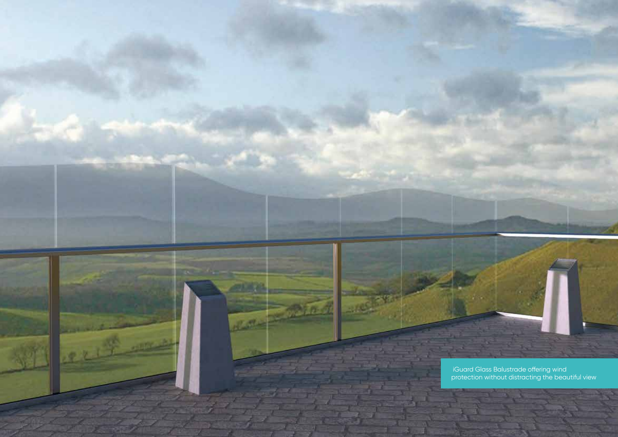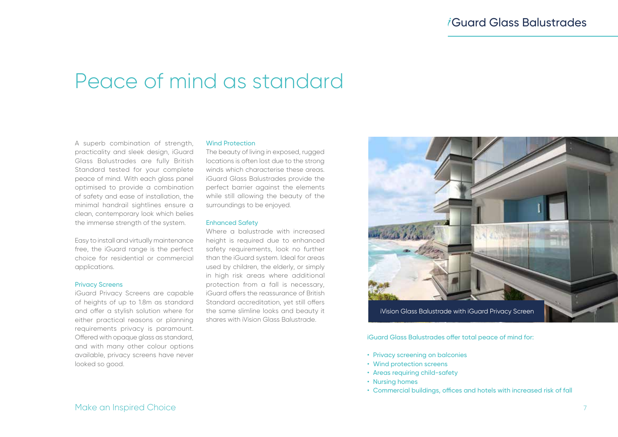## Peace of mind as standard

A superb combination of strength, practicality and sleek design, iGuard Glass Balustrades are fully British Standard tested for your complete peace of mind. With each glass panel optimised to provide a combination of safety and ease of installation, the minimal handrail sightlines ensure a clean, contemporary look which belies the immense strength of the system.

Easy to install and virtually maintenance free, the iGuard range is the perfect choice for residential or commercial applications.

#### Privacy Screens

iGuard Privacy Screens are capable of heights of up to 1.8m as standard and offer a stylish solution where for either practical reasons or planning requirements privacy is paramount. Offered with opaque glass as standard, and with many other colour options available, privacy screens have never looked so good.

#### Wind Protection

The beauty of living in exposed, rugged locations is often lost due to the strong winds which characterise these areas. iGuard Glass Balustrades provide the perfect barrier against the elements while still allowing the beauty of the surroundings to be enjoyed.

#### Enhanced Safety

Where a balustrade with increased height is required due to enhanced safety requirements, look no further than the iGuard system. Ideal for areas used by children, the elderly, or simply in high risk areas where additional protection from a fall is necessary, iGuard offers the reassurance of British Standard accreditation, yet still offers the same slimline looks and beauty it shares with iVision Glass Balustrade.



iGuard Glass Balustrades offer total peace of mind for:

- Privacy screening on balconies
- Wind protection screens
- Areas requiring child-safety
- Nursing homes
- Commercial buildings, offices and hotels with increased risk of fall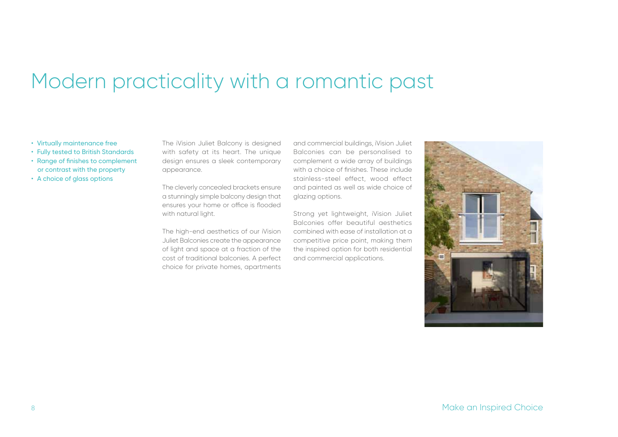### Modern practicality with a romantic past

#### • Virtually maintenance free

- Fully tested to British Standards
- Range of finishes to complement or contrast with the property
- A choice of glass options

The iVision Juliet Balcony is designed with safety at its heart. The unique design ensures a sleek contemporary appearance.

The cleverly concealed brackets ensure a stunningly simple balcony design that ensures your home or office is flooded with natural light.

The high-end aesthetics of our iVision Juliet Balconies create the appearance of light and space at a fraction of the cost of traditional balconies. A perfect choice for private homes, apartments and commercial buildings, iVision Juliet Balconies can be personalised to complement a wide array of buildings with a choice of finishes. These include stainless-steel effect, wood effect and painted as well as wide choice of glazing options.

Strong yet lightweight, iVision Juliet Balconies offer beautiful aesthetics combined with ease of installation at a competitive price point, making them the inspired option for both residential and commercial applications.

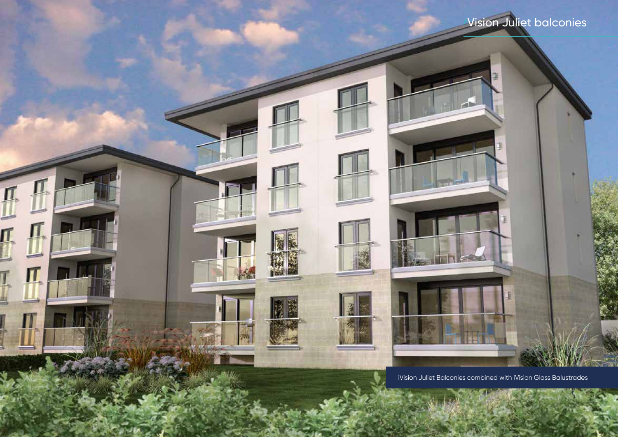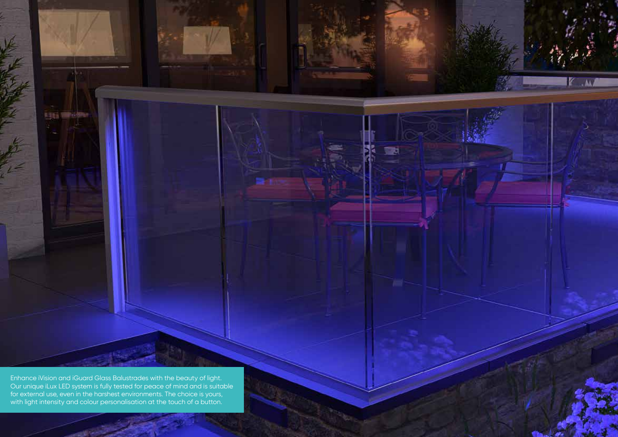The memorial concern person answers a three touch of a button. Enhance iVision and iGuard Glass Balustrades with the beauty of light. Our unique iLux LED system is fully tested for peace of mind and is suitable for external use, even in the harshest environments. The choice is yours, with light intensity and colour personalisation at the touch of a button.

ABIT

IZ .M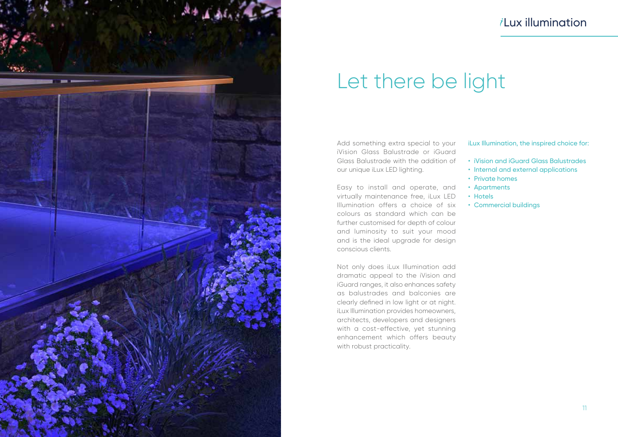

#### Lux illumination

## Let there be light

Add something extra special to your iVision Glass Balustrade or iGuard Glass Balustrade with the addition of our unique iLux LED lighting.

Easy to install and operate, and virtually maintenance free, iLux LED Illumination offers a choice of six colours as standard which can be further customised for depth of colour and luminosity to suit your mood and is the ideal upgrade for design conscious clients.

Not only does iLux Illumination add dramatic appeal to the iVision and iGuard ranges, it also enhances safety as balustrades and balconies are clearly defined in low light or at night. iLux Illumination provides homeowners, architects, developers and designers with a cost-effective, yet stunning enhancement which offers beauty with robust practicality.

iLux Illumination, the inspired choice for:

- iVision and iGuard Glass Balustrades
- Internal and external applications
- Private homes
- Apartments
- Hotels
- Commercial buildings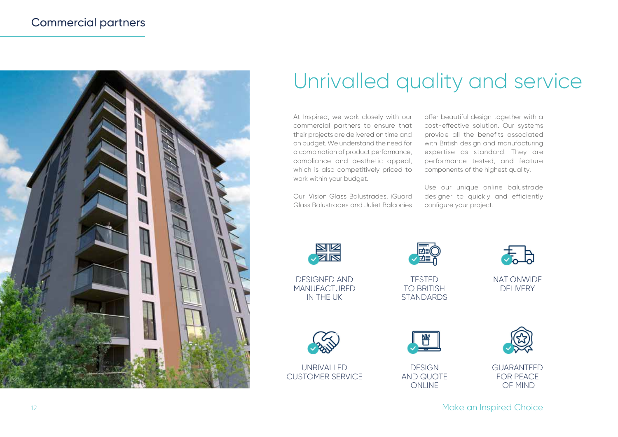

### Unrivalled quality and service

At Inspired, we work closely with our commercial partners to ensure that their projects are delivered on time and on budget. We understand the need for a combination of product performance, compliance and aesthetic appeal, which is also competitively priced to work within your budget.

Our iVision Glass Balustrades, iGuard Glass Balustrades and Juliet Balconies offer beautiful design together with a cost-effective solution. Our systems provide all the benefits associated with British design and manufacturing expertise as standard. They are performance tested, and feature components of the highest quality.

Use our unique online balustrade designer to quickly and efficiently configure your project.

N<br>Na

DESIGNED AND MANUFACTURED IN THE UK



UNRIVALLED CUSTOMER SERVICE



TESTED TO BRITISH STANDARDS

**DESIGN** AND QUOTE ONLINE



NATIONWIDE **DELIVERY** 



OF MIND

GUARANTEED FOR PEACE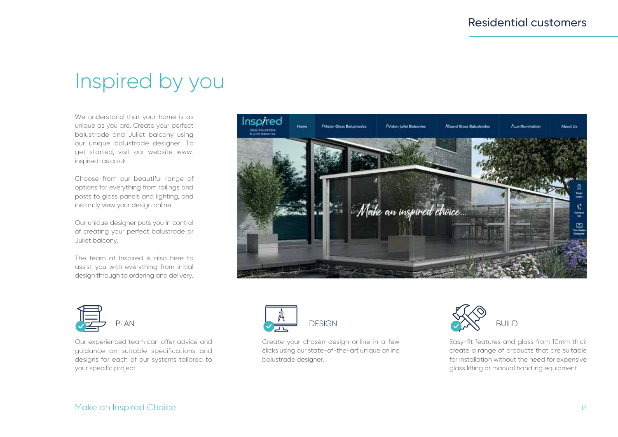### Inspired by you

We understand that your home is as unique as you are. Create your perfect balustrade and Juliet balcony using our unique balustrade designer. To get started, visit our website [www.](http://www.inspired-as.co.uk) [inspired-as.co.uk](http://www.inspired-as.co.uk) 

Choose from our beautiful range of options for everything from railings and posts to glass panels and lighting, and instantly view your design online.

Our unique designer puts you in control of creating your perfect balustrade or Juliet balcony.

The team at Inspired is also here to assist you with everything from initial design through to ordering and delivery.





Our experienced team can offer advice and guidance on suitable specifications and designs for each of our systems tailored to your specific project.



Create your chosen design online in a few clicks using our state-of-the-art unique online balustrade designer.



Easy-fit features and glass from 10mm thick create a range of products that are suitable for installation without the need for expensive glass lifting or manual handling equipment.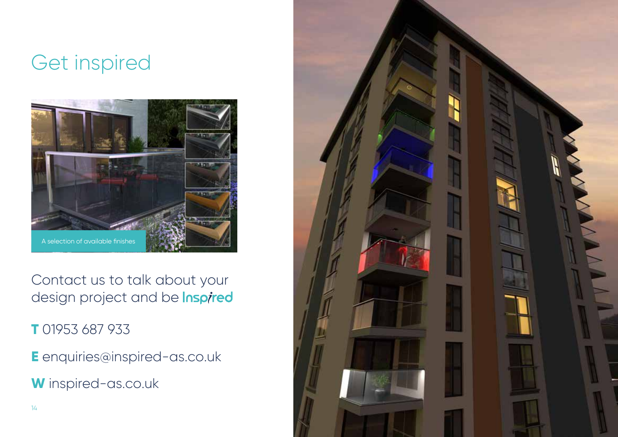## Get inspired



Contact us to talk about your design project and be **Inspired** 

**T** 01953 687 933

**E** [enquiries@inspired-as.co.uk](mailto:enquiries@inspired-as.co.uk)

**W** [inspired-as.co.uk](http://inspired-as.co.uk)